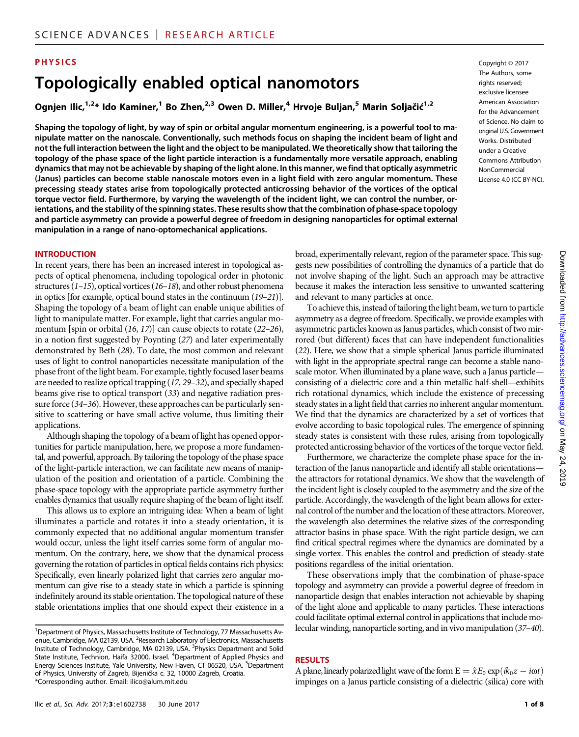# **PHYSICS** Copyright © 2017

# Topologically enabled optical nanomotors

Ognjen Ilic,<sup>1,2\*</sup> Ido Kaminer,<sup>1</sup> Bo Zhen,<sup>2,3</sup> Owen D. Miller,<sup>4</sup> Hrvoje Buljan,<sup>5</sup> Marin Soljačić<sup>1,2</sup>

Shaping the topology of light, by way of spin or orbital angular momentum engineering, is a powerful tool to manipulate matter on the nanoscale. Conventionally, such methods focus on shaping the incident beam of light and not the full interaction between the light and the object to be manipulated. We theoretically show that tailoring the topology of the phase space of the light particle interaction is a fundamentally more versatile approach, enabling dynamics that may not be achievable by shaping of the light alone. In this manner, we find that optically asymmetric (Janus) particles can become stable nanoscale motors even in a light field with zero angular momentum. These precessing steady states arise from topologically protected anticrossing behavior of the vortices of the optical torque vector field. Furthermore, by varying the wavelength of the incident light, we can control the number, orientations, and the stability of the spinning states. These results show that the combination of phase-space topology and particle asymmetry can provide a powerful degree of freedom in designing nanoparticles for optimal external manipulation in a range of nano-optomechanical applications.

The Authors, some rights reserved; exclusive licensee American Association for the Advancement of Science. No claim to original U.S. Government Works. Distributed under a Creative Commons Attribution NonCommercial License 4.0 (CC BY-NC).

#### INTRODUCTION

In recent years, there has been an increased interest in topological aspects of optical phenomena, including topological order in photonic structures (1–15), optical vortices (16–18), and other robust phenomena in optics [for example, optical bound states in the continuum (19–21)]. Shaping the topology of a beam of light can enable unique abilities of light to manipulate matter. For example, light that carries angular momentum [spin or orbital (16, 17)] can cause objects to rotate (22–26), in a notion first suggested by Poynting (27) and later experimentally demonstrated by Beth (28). To date, the most common and relevant uses of light to control nanoparticles necessitate manipulation of the phase front of the light beam. For example, tightly focused laser beams are needed to realize optical trapping (17, 29–32), and specially shaped beams give rise to optical transport (33) and negative radiation pressure force (34–36). However, these approaches can be particularly sensitive to scattering or have small active volume, thus limiting their applications.

Although shaping the topology of a beam of light has opened opportunities for particle manipulation, here, we propose a more fundamental, and powerful, approach. By tailoring the topology of the phase space of the light-particle interaction, we can facilitate new means of manipulation of the position and orientation of a particle. Combining the phase-space topology with the appropriate particle asymmetry further enables dynamics that usually require shaping of the beam of light itself.

This allows us to explore an intriguing idea: When a beam of light illuminates a particle and rotates it into a steady orientation, it is commonly expected that no additional angular momentum transfer would occur, unless the light itself carries some form of angular momentum. On the contrary, here, we show that the dynamical process governing the rotation of particles in optical fields contains rich physics: Specifically, even linearly polarized light that carries zero angular momentum can give rise to a steady state in which a particle is spinning indefinitely around its stable orientation. The topological nature of these stable orientations implies that one should expect their existence in a

broad, experimentally relevant, region of the parameter space. This suggests new possibilities of controlling the dynamics of a particle that do not involve shaping of the light. Such an approach may be attractive because it makes the interaction less sensitive to unwanted scattering and relevant to many particles at once.

To achieve this, instead of tailoring the light beam, we turn to particle asymmetry as a degree of freedom. Specifically, we provide examples with asymmetric particles known as Janus particles, which consist of two mirrored (but different) faces that can have independent functionalities (22). Here, we show that a simple spherical Janus particle illuminated with light in the appropriate spectral range can become a stable nanoscale motor. When illuminated by a plane wave, such a Janus particle consisting of a dielectric core and a thin metallic half-shell—exhibits rich rotational dynamics, which include the existence of precessing steady states in a light field that carries no inherent angular momentum. We find that the dynamics are characterized by a set of vortices that evolve according to basic topological rules. The emergence of spinning steady states is consistent with these rules, arising from topologically protected anticrossing behavior of the vortices of the torque vector field.

Furthermore, we characterize the complete phase space for the interaction of the Janus nanoparticle and identify all stable orientations the attractors for rotational dynamics. We show that the wavelength of the incident light is closely coupled to the asymmetry and the size of the particle. Accordingly, the wavelength of the light beam allows for external control of the number and the location of these attractors. Moreover, the wavelength also determines the relative sizes of the corresponding attractor basins in phase space. With the right particle design, we can find critical spectral regimes where the dynamics are dominated by a single vortex. This enables the control and prediction of steady-state positions regardless of the initial orientation.

These observations imply that the combination of phase-space topology and asymmetry can provide a powerful degree of freedom in nanoparticle design that enables interaction not achievable by shaping of the light alone and applicable to many particles. These interactions could facilitate optimal external control in applications that include molecular winding, nanoparticle sorting, and in vivo manipulation (37–40).

### RESULTS

A plane, linearly polarized light wave of the form  $\mathbf{E} = \hat{\mathbf{x}} E_0 \exp(i k_0 z - i \omega t)$ impinges on a Janus particle consisting of a dielectric (silica) core with

<sup>&</sup>lt;sup>1</sup>Department of Physics, Massachusetts Institute of Technology, 77 Massachusetts Avenue, Cambridge, MA 02139, USA. <sup>2</sup>Research Laboratory of Electronics, Massachusetts Institute of Technology, Cambridge, MA 02139, USA. <sup>3</sup>Physics Department and Solid State Institute, Technion, Haifa 32000, Israel. <sup>4</sup>Department of Applied Physics and Energy Sciences Institute, Yale University, New Haven, CT 06520, USA. <sup>5</sup>Department of Physics, University of Zagreb, Bijenička c. 32, 10000 Zagreb, Croatia. \*Corresponding author. Email: ilico@alum.mit.edu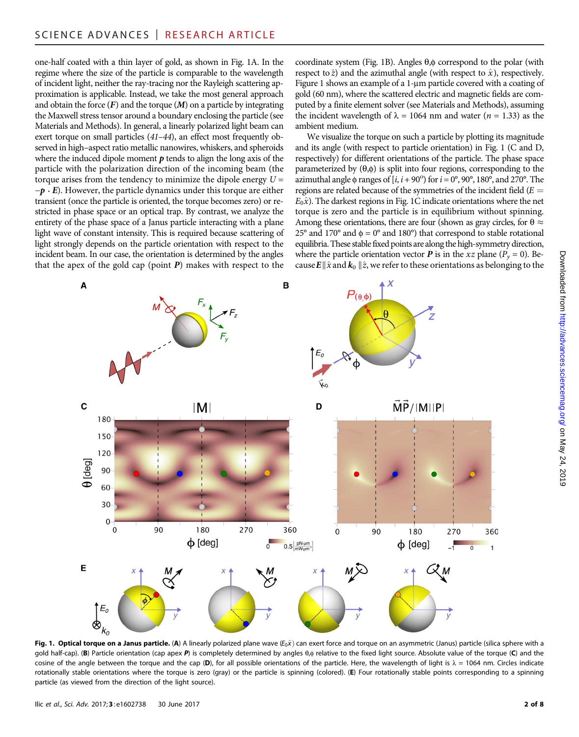one-half coated with a thin layer of gold, as shown in Fig. 1A. In the regime where the size of the particle is comparable to the wavelength of incident light, neither the ray-tracing nor the Rayleigh scattering approximation is applicable. Instead, we take the most general approach and obtain the force  $(F)$  and the torque  $(M)$  on a particle by integrating the Maxwell stress tensor around a boundary enclosing the particle (see Materials and Methods). In general, a linearly polarized light beam can exert torque on small particles (41–44), an effect most frequently observed in high–aspect ratio metallic nanowires, whiskers, and spheroids where the induced dipole moment  $p$  tends to align the long axis of the particle with the polarization direction of the incoming beam (the torque arises from the tendency to minimize the dipole energy  $U =$  $-p \cdot E$ ). However, the particle dynamics under this torque are either transient (once the particle is oriented, the torque becomes zero) or restricted in phase space or an optical trap. By contrast, we analyze the entirety of the phase space of a Janus particle interacting with a plane light wave of constant intensity. This is required because scattering of light strongly depends on the particle orientation with respect to the incident beam. In our case, the orientation is determined by the angles that the apex of the gold cap (point  $P$ ) makes with respect to the

coordinate system (Fig. 1B). Angles  $\theta$ , $\phi$  correspond to the polar (with respect to  $\hat{z}$ ) and the azimuthal angle (with respect to  $\hat{x}$ ), respectively. Figure 1 shows an example of a 1-µm particle covered with a coating of gold (60 nm), where the scattered electric and magnetic fields are computed by a finite element solver (see Materials and Methods), assuming the incident wavelength of  $\lambda = 1064$  nm and water (*n* = 1.33) as the ambient medium.

We visualize the torque on such a particle by plotting its magnitude and its angle (with respect to particle orientation) in Fig. 1 (C and D, respectively) for different orientations of the particle. The phase space parameterized by  $(\theta,\phi)$  is split into four regions, corresponding to the azimuthal angle  $\phi$  ranges of [i, i + 90<sup>o</sup>) for  $i = 0^\circ$ , 90<sup>o</sup>, 180<sup>o</sup>, and 270<sup>o</sup>. The regions are related because of the symmetries of the incident field ( $E =$  $E_0\hat{x}$ ). The darkest regions in Fig. 1C indicate orientations where the net torque is zero and the particle is in equilibrium without spinning. Among these orientations, there are four (shown as gray circles, for  $\theta \approx$  $25^{\circ}$  and  $170^{\circ}$  and  $\phi = 0^{\circ}$  and  $180^{\circ}$ ) that correspond to stable rotational equilibria. These stable fixed points are along the high-symmetry direction, where the particle orientation vector **P** is in the xz plane ( $P_y = 0$ ). Because  $E||\hat{x}$  and  $k_0 ||\hat{z}$ , we refer to these orientations as belonging to the



Fig. 1. Optical torque on a Janus particle. (A) A linearly polarized plane wave ( $E_0\hat{x}$ ) can exert force and torque on an asymmetric (Janus) particle (silica sphere with a gold half-cap). (B) Particle orientation (cap apex P) is completely determined by angles  $\theta$ , $\phi$  relative to the fixed light source. Absolute value of the torque (C) and the cosine of the angle between the torque and the cap (D), for all possible orientations of the particle. Here, the wavelength of light is  $\lambda = 1064$  nm. Circles indicate rotationally stable orientations where the torque is zero (gray) or the particle is spinning (colored). (E) Four rotationally stable points corresponding to a spinning particle (as viewed from the direction of the light source).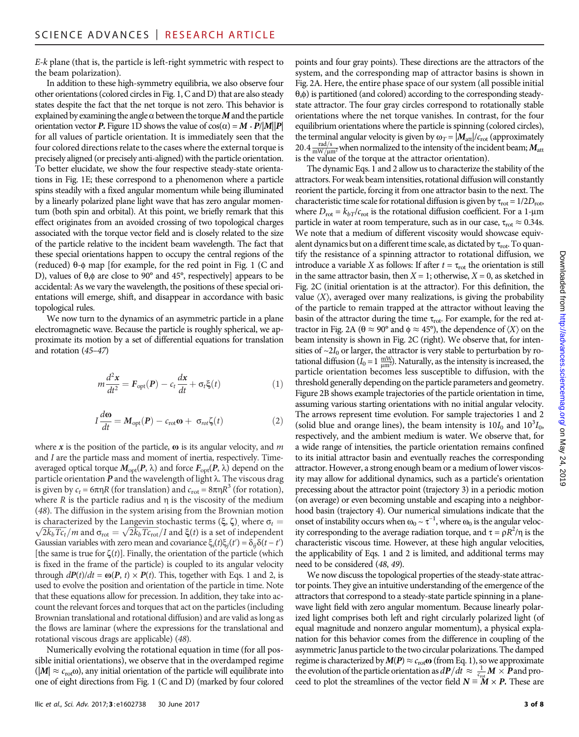E-k plane (that is, the particle is left-right symmetric with respect to the beam polarization).

In addition to these high-symmetry equilibria, we also observe four other orientations (colored circlesin Fig. 1, C and D) that are also steady states despite the fact that the net torque is not zero. This behavior is explained by examining the angle  $\alpha$  between the torque M and the particle orientation vector P. Figure 1D shows the value of  $cos(\alpha) = M \cdot P/|M||P|$ for all values of particle orientation. It is immediately seen that the four colored directions relate to the cases where the external torque is precisely aligned (or precisely anti-aligned) with the particle orientation. To better elucidate, we show the four respective steady-state orientations in Fig. 1E; these correspond to a phenomenon where a particle spins steadily with a fixed angular momentum while being illuminated by a linearly polarized plane light wave that has zero angular momentum (both spin and orbital). At this point, we briefly remark that this effect originates from an avoided crossing of two topological charges associated with the torque vector field and is closely related to the size of the particle relative to the incident beam wavelength. The fact that these special orientations happen to occupy the central regions of the (reduced)  $\theta$ - $\phi$  map [for example, for the red point in Fig. 1 (C and D), values of  $\theta$ , $\phi$  are close to 90 $^{\circ}$  and 45 $^{\circ}$ , respectively] appears to be accidental: As we vary the wavelength, the positions of these special orientations will emerge, shift, and disappear in accordance with basic topological rules.

We now turn to the dynamics of an asymmetric particle in a plane electromagnetic wave. Because the particle is roughly spherical, we approximate its motion by a set of differential equations for translation and rotation (45–47)

$$
m\frac{d^2x}{dt^2} = F_{\text{opt}}(\mathbf{P}) - c_t\frac{dx}{dt} + \sigma_t \xi(t)
$$
\n(1)

$$
I\frac{d\mathbf{\omega}}{dt} = M_{\text{opt}}(\mathbf{P}) - c_{\text{rot}}\mathbf{\omega} + \sigma_{\text{rot}}\zeta(t)
$$
 (2)

where  $x$  is the position of the particle,  $\omega$  is its angular velocity, and m and I are the particle mass and moment of inertia, respectively. Timeaveraged optical torque  $M_{\text{opt}}(P, \lambda)$  and force  $F_{\text{opt}}(P, \lambda)$  depend on the particle orientation  $P$  and the wavelength of light  $\lambda$ . The viscous drag is given by  $c_t = 6\pi \eta R$  (for translation) and  $c_{\text{rot}} = 8\pi \eta R^3$  (for rotation), where  $R$  is the particle radius and  $\eta$  is the viscosity of the medium (48). The diffusion in the system arising from the Brownian motion is characterized by the Langevin stochastic terms  $(\xi, \zeta)$  where  $\sigma_t =$ is characterized by the Langevin stochastic terms ( $\xi$ ,  $\zeta$ ), where  $\sigma_t = \sqrt{2k_bTc_t}/m$  and  $\sigma_{\text{rot}} = \sqrt{2k_bTc_{\text{rot}}}/I$  and  $\xi(t)$  is a set of independent Gaussian variables with zero mean and covariance  $\xi_i(t)\xi_j(t') = \delta_{ij}\delta(t-t')$ [the same is true for  $\zeta(t)$ ]. Finally, the orientation of the particle (which is fixed in the frame of the particle) is coupled to its angular velocity through  $dP(t)/dt = \omega(P, t) \times P(t)$ . This, together with Eqs. 1 and 2, is used to evolve the position and orientation of the particle in time. Note that these equations allow for precession. In addition, they take into account the relevant forces and torques that act on the particles (including Brownian translational and rotational diffusion) and are valid as long as the flows are laminar (where the expressions for the translational and rotational viscous drags are applicable) (48).

Numerically evolving the rotational equation in time (for all possible initial orientations), we observe that in the overdamped regime  $(|M| \approx c_{\text{rot}}\omega)$ , any initial orientation of the particle will equilibrate into one of eight directions from Fig. 1 (C and D) (marked by four colored

 $\frac{1}{10}$  and  $\frac{1}{2}$  of 8  $\frac{1}{2}$  and  $\frac{1}{2}$  and  $\frac{1}{2}$  3 of 8  $\frac{1}{2}$  3 of 8

points and four gray points). These directions are the attractors of the system, and the corresponding map of attractor basins is shown in Fig. 2A. Here, the entire phase space of our system (all possible initial  $(\theta, \phi)$  is partitioned (and colored) according to the corresponding steadystate attractor. The four gray circles correspond to rotationally stable orientations where the net torque vanishes. In contrast, for the four equilibrium orientations where the particle is spinning (colored circles), the terminal angular velocity is given by  $\omega_T = |M_{\text{att}}|/c_{\text{rot}}$  (approximately 20.4  $\frac{\text{rad/s}}{\text{mW}/\text{\mu m}^2}$  when normalized to the intensity of the incident beam;  $M_{\text{att}}$ is the value of the torque at the attractor orientation).

The dynamic Eqs. 1 and 2 allow us to characterize the stability of the attractors. For weak beam intensities, rotational diffusion will constantly reorient the particle, forcing it from one attractor basin to the next. The characteristic time scale for rotational diffusion is given by  $\tau_{\rm rot} = 1/2D_{\rm rot}$ , where  $D_{\text{rot}} = k_{bT}/c_{\text{rot}}$  is the rotational diffusion coefficient. For a 1-µm particle in water at room temperature, such as in our case,  $\tau_{\text{rot}} \approx 0.34$ s. We note that a medium of different viscosity would showcase equivalent dynamics but on a different time scale, as dictated by  $\tau_{\text{rot}}$ . To quantify the resistance of a spinning attractor to rotational diffusion, we introduce a variable *X* as follows: If after  $t = \tau_{\text{rot}}$  the orientation is still in the same attractor basin, then  $X = 1$ ; otherwise,  $X = 0$ , as sketched in Fig. 2C (initial orientation is at the attractor). For this definition, the value  $\langle X \rangle$ , averaged over many realizations, is giving the probability of the particle to remain trapped at the attractor without leaving the basin of the attractor during the time  $\tau_{\text{rot}}$ . For example, for the red attractor in Fig. 2A ( $\theta \approx 90^{\circ}$  and  $\phi \approx 45^{\circ}$ ), the dependence of  $\langle X \rangle$  on the beam intensity is shown in Fig. 2C (right). We observe that, for intensities of  $\sim$ 2 $I_0$  or larger, the attractor is very stable to perturbation by rotational diffusion ( $\overline{I_0} = 1 \frac{\text{mW}}{\text{\mu m}^2}$ ). Naturally, as the intensity is increased, the particle orientation becomes less susceptible to diffusion, with the threshold generally depending on the particle parameters and geometry. Figure 2B shows example trajectories of the particle orientation in time, assuming various starting orientations with no initial angular velocity. The arrows represent time evolution. For sample trajectories 1 and 2 (solid blue and orange lines), the beam intensity is  $10I_0$  and  $10^3I_0$ , respectively, and the ambient medium is water. We observe that, for a wide range of intensities, the particle orientation remains confined to its initial attractor basin and eventually reaches the corresponding attractor. However, a strong enough beam or a medium of lower viscosity may allow for additional dynamics, such as a particle's orientation precessing about the attractor point (trajectory 3) in a periodic motion (on average) or even becoming unstable and escaping into a neighborhood basin (trajectory 4). Our numerical simulations indicate that the onset of instability occurs when  $\omega_0 \sim \tau^{-1}$ , where  $\omega_0$  is the angular velocity corresponding to the average radiation torque, and  $\tau = \rho R^2/\eta$  is the characteristic viscous time. However, at these high angular velocities, the applicability of Eqs. 1 and 2 is limited, and additional terms may need to be considered (48, 49).

We now discuss the topological properties of the steady-state attractor points. They give an intuitive understanding of the emergence of the attractors that correspond to a steady-state particle spinning in a planewave light field with zero angular momentum. Because linearly polarized light comprises both left and right circularly polarized light (of equal magnitude and nonzero angular momentum), a physical explanation for this behavior comes from the difference in coupling of the asymmetric Janus particle to the two circular polarizations. The damped regime is characterized by  $M(P) \approx c_{\text{rot}}\omega$  (from Eq. 1), so we approximate the evolution of the particle orientation as  $dP/dt \approx \frac{1}{c_{\rm rot}} M \times P$  and proceed to plot the streamlines of the vector field  $N = M \times P$ . These are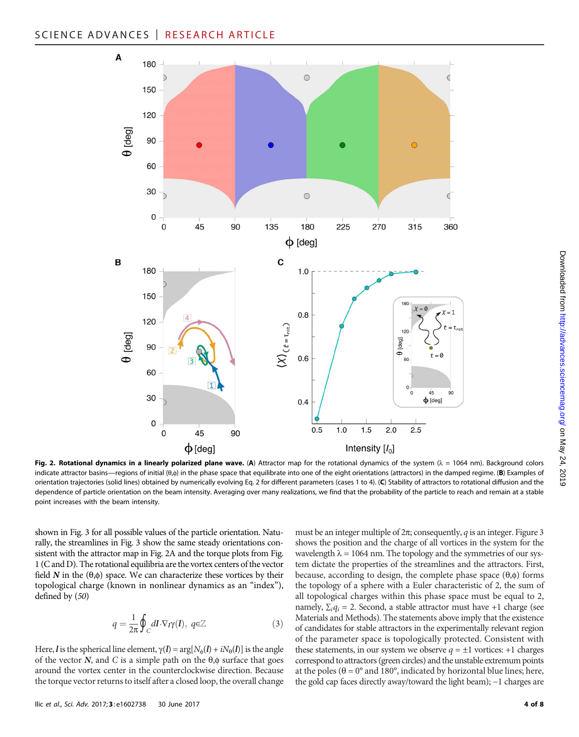

Downloaded from http://advances.sciencemag.org/ on May 24, 2019 on May 24, 2019 <http://advances.sciencemag.org/> Downloaded from

Fig. 2. Rotational dynamics in a linearly polarized plane wave. (A) Attractor map for the rotational dynamics of the system  $(\lambda = 1064$  nm). Background colors indicate attractor basins—regions of initial  $(\theta,\phi)$  in the phase space that equilibrate into one of the eight orientations (attractors) in the damped regime. (B) Examples of orientation trajectories (solid lines) obtained by numerically evolving Eq. 2 for different parameters (cases 1 to 4). (C) Stability of attractors to rotational diffusion and the dependence of particle orientation on the beam intensity. Averaging over many realizations, we find that the probability of the particle to reach and remain at a stable point increases with the beam intensity.

shown in Fig. 3 for all possible values of the particle orientation. Naturally, the streamlines in Fig. 3 show the same steady orientations consistent with the attractor map in Fig. 2A and the torque plots from Fig. 1 (C and D). The rotational equilibria are the vortex centers of the vector field  $N$  in the  $(\theta,\phi)$  space. We can characterize these vortices by their topological charge (known in nonlinear dynamics as an "index"), defined by (50)

$$
q = \frac{1}{2\pi} \oint_C dl \cdot \nabla_l \gamma(l), \ q \in \mathbb{Z}
$$
 (3)

Here, *l* is the spherical line element,  $\gamma(l) = \arg[N_0(l) + iN_0(l)]$  is the angle of the vector N, and C is a simple path on the  $\theta$ , $\phi$  surface that goes around the vortex center in the counterclockwise direction. Because the torque vector returns to itself after a closed loop, the overall change must be an integer multiple of  $2\pi$ ; consequently, q is an integer. Figure 3 shows the position and the charge of all vortices in the system for the wavelength  $\lambda = 1064$  nm. The topology and the symmetries of our system dictate the properties of the streamlines and the attractors. First, because, according to design, the complete phase space  $(\theta,\phi)$  forms the topology of a sphere with a Euler characteristic of 2, the sum of all topological charges within this phase space must be equal to 2, namely,  $\Sigma_i q_i = 2$ . Second, a stable attractor must have +1 charge (see Materials and Methods). The statements above imply that the existence of candidates for stable attractors in the experimentally relevant region of the parameter space is topologically protected. Consistent with these statements, in our system we observe  $q = \pm 1$  vortices:  $+1$  charges correspond to attractors (green circles) and the unstable extremum points at the poles ( $\theta = 0^{\circ}$  and 180°, indicated by horizontal blue lines; here, the gold cap faces directly away/toward the light beam); −1 charges are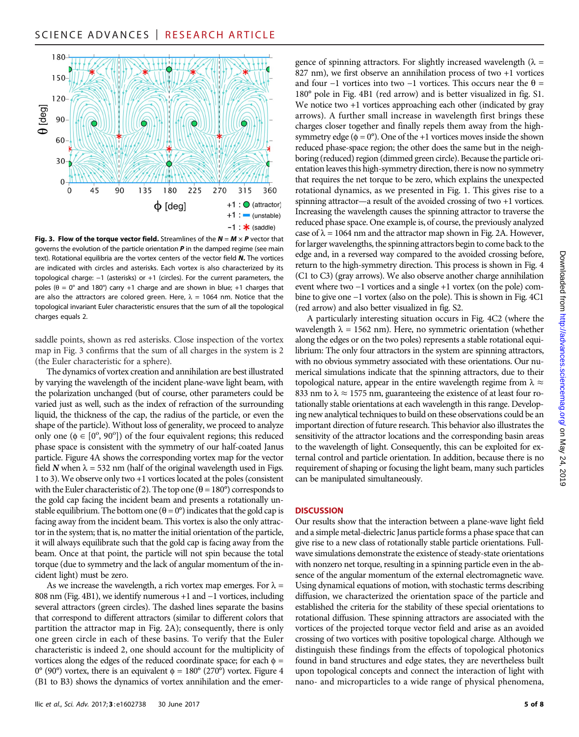

Fig. 3. Flow of the torque vector field. Streamlines of the  $N = M \times P$  vector that governs the evolution of the particle orientation  $P$  in the damped regime (see main text). Rotational equilibria are the vortex centers of the vector field  $N$ . The vortices are indicated with circles and asterisks. Each vortex is also characterized by its topological charge: −1 (asterisks) or +1 (circles). For the current parameters, the poles ( $\theta = 0^{\circ}$  and 180°) carry +1 charge and are shown in blue; +1 charges that are also the attractors are colored green. Here,  $\lambda = 1064$  nm. Notice that the topological invariant Euler characteristic ensures that the sum of all the topological charges equals 2.

saddle points, shown as red asterisks. Close inspection of the vortex map in Fig. 3 confirms that the sum of all charges in the system is 2 (the Euler characteristic for a sphere).

The dynamics of vortex creation and annihilation are best illustrated by varying the wavelength of the incident plane-wave light beam, with the polarization unchanged (but of course, other parameters could be varied just as well, such as the index of refraction of the surrounding liquid, the thickness of the cap, the radius of the particle, or even the shape of the particle). Without loss of generality, we proceed to analyze only one ( $\phi \in [0^{\circ}, 90^{\circ}]$ ) of the four equivalent regions; this reduced phase space is consistent with the symmetry of our half-coated Janus particle. Figure 4A shows the corresponding vortex map for the vector field N when  $\lambda$  = 532 nm (half of the original wavelength used in Figs. 1 to 3). We observe only two +1 vortices located at the poles (consistent with the Euler characteristic of 2). The top one ( $\theta$  = 180°) corresponds to the gold cap facing the incident beam and presents a rotationally unstable equilibrium. The bottom one  $(\theta = 0^{\circ})$  indicates that the gold cap is facing away from the incident beam. This vortex is also the only attractor in the system; that is, no matter the initial orientation of the particle, it will always equilibrate such that the gold cap is facing away from the beam. Once at that point, the particle will not spin because the total torque (due to symmetry and the lack of angular momentum of the incident light) must be zero.

As we increase the wavelength, a rich vortex map emerges. For  $\lambda =$ 808 nm (Fig. 4B1), we identify numerous +1 and −1 vortices, including several attractors (green circles). The dashed lines separate the basins that correspond to different attractors (similar to different colors that partition the attractor map in Fig. 2A); consequently, there is only one green circle in each of these basins. To verify that the Euler characteristic is indeed 2, one should account for the multiplicity of vortices along the edges of the reduced coordinate space; for each  $\phi$  =  $0^{\circ}$  (90°) vortex, there is an equivalent  $\phi = 180^{\circ}$  (270°) vortex. Figure 4 (B1 to B3) shows the dynamics of vortex annihilation and the emer-

 $\frac{1}{10}$  and  $\frac{1}{2}$  and  $\frac{1}{2}$  and  $\frac{1}{2}$  and  $\frac{1}{2}$  and  $\frac{1}{2}$  and  $\frac{1}{2}$  and  $\frac{1}{2}$  by  $\frac{1}{2}$  and  $\frac{1}{2}$  and  $\frac{1}{2}$  and  $\frac{1}{2}$  and  $\frac{1}{2}$  and  $\frac{1}{2}$  and  $\frac{1}{2}$  and  $\frac{1}{2}$  a

gence of spinning attractors. For slightly increased wavelength ( $\lambda$  = 827 nm), we first observe an annihilation process of two +1 vortices and four −1 vortices into two −1 vortices. This occurs near the  $\theta$  = 180° pole in Fig. 4B1 (red arrow) and is better visualized in fig. S1. We notice two +1 vortices approaching each other (indicated by gray arrows). A further small increase in wavelength first brings these charges closer together and finally repels them away from the highsymmetry edge ( $\phi = 0^{\circ}$ ). One of the +1 vortices moves inside the shown reduced phase-space region; the other does the same but in the neighboring (reduced) region (dimmed green circle). Because the particle orientation leaves this high-symmetry direction, there is now no symmetry that requires the net torque to be zero, which explains the unexpected rotational dynamics, as we presented in Fig. 1. This gives rise to a spinning attractor—a result of the avoided crossing of two +1 vortices. Increasing the wavelength causes the spinning attractor to traverse the reduced phase space. One example is, of course, the previously analyzed case of  $\lambda$  = 1064 nm and the attractor map shown in Fig. 2A. However, for larger wavelengths, the spinning attractors begin to come back to the edge and, in a reversed way compared to the avoided crossing before, return to the high-symmetry direction. This process is shown in Fig. 4 (C1 to C3) (gray arrows). We also observe another charge annihilation event where two −1 vortices and a single +1 vortex (on the pole) combine to give one −1 vortex (also on the pole). This is shown in Fig. 4C1 (red arrow) and also better visualized in fig. S2.

A particularly interesting situation occurs in Fig. 4C2 (where the wavelength  $\lambda = 1562$  nm). Here, no symmetric orientation (whether along the edges or on the two poles) represents a stable rotational equilibrium: The only four attractors in the system are spinning attractors, with no obvious symmetry associated with these orientations. Our numerical simulations indicate that the spinning attractors, due to their topological nature, appear in the entire wavelength regime from  $\lambda \approx$ 833 nm to  $\lambda \approx 1575$  nm, guaranteeing the existence of at least four rotationally stable orientations at each wavelength in this range. Developing new analytical techniques to build on these observations could be an important direction of future research. This behavior also illustrates the sensitivity of the attractor locations and the corresponding basin areas to the wavelength of light. Consequently, this can be exploited for external control and particle orientation. In addition, because there is no requirement of shaping or focusing the light beam, many such particles can be manipulated simultaneously.

## **DISCUSSION**

Our results show that the interaction between a plane-wave light field and a simple metal-dielectric Janus particle forms a phase space that can give rise to a new class of rotationally stable particle orientations. Fullwave simulations demonstrate the existence of steady-state orientations with nonzero net torque, resulting in a spinning particle even in the absence of the angular momentum of the external electromagnetic wave. Using dynamical equations of motion, with stochastic terms describing diffusion, we characterized the orientation space of the particle and established the criteria for the stability of these special orientations to rotational diffusion. These spinning attractors are associated with the vortices of the projected torque vector field and arise as an avoided crossing of two vortices with positive topological charge. Although we distinguish these findings from the effects of topological photonics found in band structures and edge states, they are nevertheless built upon topological concepts and connect the interaction of light with nano- and microparticles to a wide range of physical phenomena,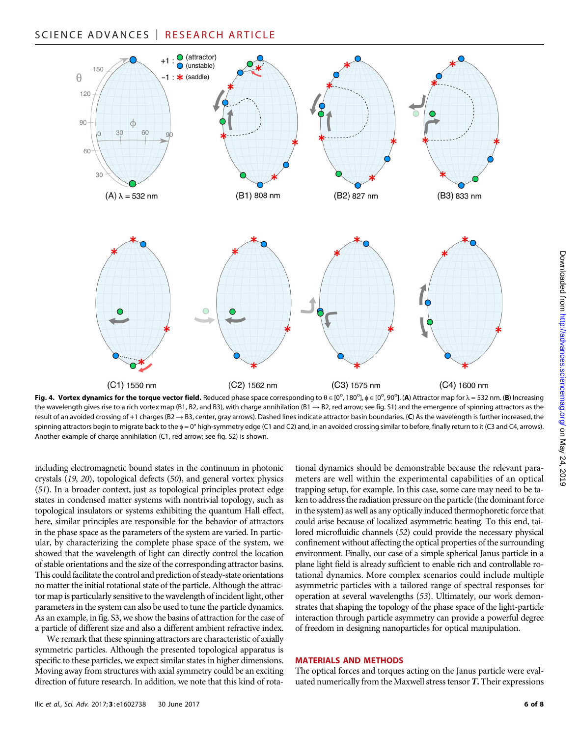

Fig. 4. Vortex dynamics for the torque vector field. Reduced phase space corresponding to  $\theta \in [0^{\circ}, 180^{\circ}], \phi \in [0^{\circ}, 90^{\circ}].$  (A) Attractor map for  $\lambda = 532$  nm. (B) Increasing the wavelength gives rise to a rich vortex map (B1, B2, and B3), with charge annihilation (B1  $\rightarrow$  B2, red arrow; see fig. S1) and the emergence of spinning attractors as the result of an avoided crossing of +1 charges (B2 → B3, center, gray arrows). Dashed lines indicate attractor basin boundaries. (C) As the wavelength is further increased, the spinning attractors begin to migrate back to the  $\phi = 0^\circ$  high-symmetry edge (C1 and C2) and, in an avoided crossing similar to before, finally return to it (C3 and C4, arrows). Another example of charge annihilation (C1, red arrow; see fig. S2) is shown.

including electromagnetic bound states in the continuum in photonic crystals (19, 20), topological defects (50), and general vortex physics (51). In a broader context, just as topological principles protect edge states in condensed matter systems with nontrivial topology, such as topological insulators or systems exhibiting the quantum Hall effect, here, similar principles are responsible for the behavior of attractors in the phase space as the parameters of the system are varied. In particular, by characterizing the complete phase space of the system, we showed that the wavelength of light can directly control the location of stable orientations and the size of the corresponding attractor basins. This could facilitate the control and prediction of steady-state orientations no matter the initial rotational state of the particle. Although the attractor map is particularly sensitive to thewavelength of incident light, other parameters in the system can also be used to tune the particle dynamics. As an example, in fig. S3, we show the basins of attraction for the case of a particle of different size and also a different ambient refractive index.

We remark that these spinning attractors are characteristic of axially symmetric particles. Although the presented topological apparatus is specific to these particles, we expect similar states in higher dimensions. Moving away from structures with axial symmetry could be an exciting direction of future research. In addition, we note that this kind of rota-

tional dynamics should be demonstrable because the relevant parameters are well within the experimental capabilities of an optical trapping setup, for example. In this case, some care may need to be taken to address the radiation pressure on the particle (the dominant force in the system) as well as any optically induced thermophoretic force that could arise because of localized asymmetric heating. To this end, tailored microfluidic channels (52) could provide the necessary physical confinement without affecting the optical properties of the surrounding environment. Finally, our case of a simple spherical Janus particle in a plane light field is already sufficient to enable rich and controllable rotational dynamics. More complex scenarios could include multiple asymmetric particles with a tailored range of spectral responses for operation at several wavelengths (53). Ultimately, our work demonstrates that shaping the topology of the phase space of the light-particle interaction through particle asymmetry can provide a powerful degree of freedom in designing nanoparticles for optical manipulation.

# MATERIALS AND METHODS

The optical forces and torques acting on the Janus particle were evaluated numerically from the Maxwell stress tensor T. Their expressions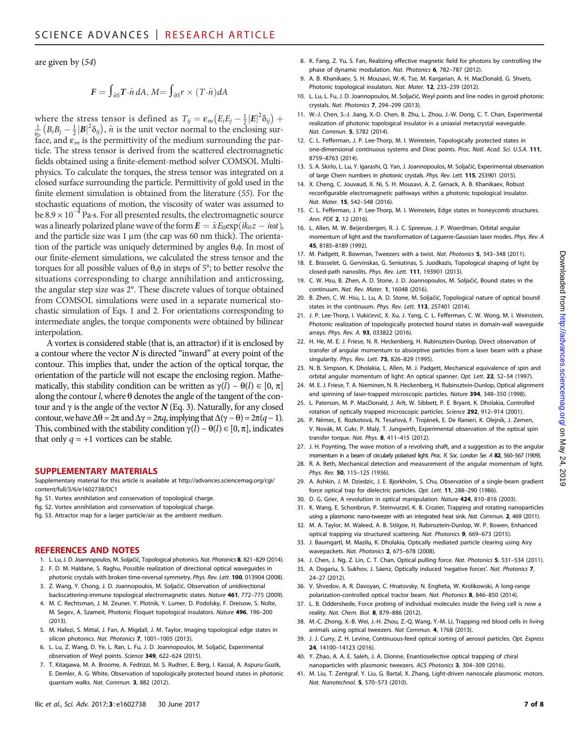are given by (54)

$$
\mathbf{F} = \int_{\partial S} \mathbf{T} \cdot \hat{\mathbf{n}} \, dA, \, M = \int_{\partial S} \mathbf{r} \times (\mathbf{T} \cdot \hat{\mathbf{n}}) \, dA
$$

where the stress tensor is defined as  $T_{ij} = \varepsilon_m (E_i E_j - \frac{1}{2} |E|^2 \delta_{ij}) + \frac{1}{2} (R_i R_i - \frac{1}{2} |R|^2 \delta_{ii})$  is the unit vector normal to the enclosing sur- $\frac{1}{\mu_0} (B_i B_j - \frac{1}{2} |B|^2 \delta_{ij}), \hat{n}$  is the unit vector normal to the enclosing surface, and  $\varepsilon_m$  is the permittivity of the medium surrounding the particle. The stress tensor is derived from the scattered electromagnetic fields obtained using a finite-element-method solver COMSOL Multiphysics. To calculate the torques, the stress tensor was integrated on a closed surface surrounding the particle. Permittivity of gold used in the finite element simulation is obtained from the literature (55). For the stochastic equations of motion, the viscosity of water was assumed to be  $8.9 \times 10^{-4}$  Pa·s. For all presented results, the electromagnetic source was a linearly polarized plane wave of the form  $\mathbf{E} = \hat{x} E_0 \exp(i k_0 z - i \omega t)$ , and the particle size was  $1 \mu m$  (the cap was 60 nm thick). The orientation of the particle was uniquely determined by angles  $\theta$ , $\phi$ . In most of our finite-element simulations, we calculated the stress tensor and the torques for all possible values of  $\theta$ , $\phi$  in steps of  $5^\circ$ ; to better resolve the situations corresponding to charge annihilation and anticrossing, the angular step size was 2°. These discrete values of torque obtained from COMSOL simulations were used in a separate numerical stochastic simulation of Eqs. 1 and 2. For orientations corresponding to intermediate angles, the torque components were obtained by bilinear interpolation.

A vortex is considered stable (that is, an attractor) if it is enclosed by a contour where the vector  $N$  is directed "inward" at every point of the contour. This implies that, under the action of the optical torque, the orientation of the particle will not escape the enclosing region. Mathematically, this stability condition can be written as  $\gamma(l) - \theta(l) \in [0, \pi]$ along the contour  $l$ , where  $\theta$  denotes the angle of the tangent of the contour and  $\gamma$  is the angle of the vector  $N$  (Eq. 3). Naturally, for any closed contour, we have  $\Delta\theta = 2\pi$  and  $\Delta\gamma = 2\pi q$ , implying that  $\Delta(\gamma - \theta) = 2\pi(q-1)$ . This, combined with the stability condition  $\gamma(l) - \theta(l) \in [0, \pi]$ , indicates that only  $q = +1$  vortices can be stable.

#### SUPPLEMENTARY MATERIALS

Supplementary material for this article is available at [http://advances.sciencemag.org/cgi/](http://advances.sciencemag.org/cgi/content/full/3/6/e1602738/DC1) [content/full/3/6/e1602738/DC1](http://advances.sciencemag.org/cgi/content/full/3/6/e1602738/DC1)

- fig. S1. Vortex annihilation and conservation of topological charge.
- fig. S2. Vortex annihilation and conservation of topological charge.
- fig. S3. Attractor map for a larger particle/air as the ambient medium.

#### REFERENCES AND NOTES

- 1. L. Lu, J. D. Joannopoulos, M. Soljačić, Topological photonics. Nat. Photonics 8, 821-829 (2014). 2. F. D. M. Haldane, S. Raghu, Possible realization of directional optical waveguides in
- photonic crystals with broken time-reversal symmetry. Phys. Rev. Lett. 100, 013904 (2008). 3. Z. Wang, Y. Chong, J. D. Joannopoulos, M. Soljačić, Observation of unidirectional
- backscattering-immune topological electromagnetic states. Nature 461, 772–775 (2009). 4. M. C. Rechtsman, J. M. Zeuner, Y. Plotnik, Y. Lumer, D. Podolsky, F. Dreisow, S. Nolte, M. Segev, A. Szameit, Photonic Floquet topological insulators. Nature 496, 196–200 (2013).
- 5. M. Hafezi, S. Mittal, J. Fan, A. Migdall, J. M. Taylor, Imaging topological edge states in silicon photonics. Nat. Photonics 7, 1001-1005 (2013).
- 6. L. Lu, Z. Wang, D. Ye, L. Ran, L. Fu, J. D. Joannopoulos, M. Soljačić, Experimental observation of Weyl points. Science 349, 622–624 (2015).
- 7. T. Kitagawa, M. A. Broome, A. Fedrizzi, M. S. Rudner, E. Berg, I. Kassal, A. Aspuru-Guzik, E. Demler, A. G. White, Observation of topologically protected bound states in photonic quantum walks. Nat. Commun. 3, 882 (2012).
- 8. K. Fang, Z. Yu, S. Fan, Realizing effective magnetic field for photons by controlling the phase of dynamic modulation. Nat. Photonics 6, 782–787 (2012).
- 9. A. B. Khanikaev, S. H. Mousavi, W.-K. Tse, M. Kargarian, A. H. MacDonald, G. Shvets, Photonic topological insulators. Nat. Mater. 12, 233–239 (2012).
- 10. L. Lu, L. Fu, J. D. Joannopoulos, M. Soljačić, Weyl points and line nodes in gyroid photonic crystals. Nat. Photonics 7, 294–299 (2013).
- 11. W.-J. Chen, S.-J. Jiang, X.-D. Chen, B. Zhu, L. Zhou, J.-W. Dong, C. T. Chan, Experimental realization of photonic topological insulator in a uniaxial metacrystal waveguide. Nat. Commun. 5, 5782 (2014).
- 12. C. L. Fefferman, J. P. Lee-Thorp, M. I. Weinstein, Topologically protected states in one-dimensional continuous systems and Dirac points. Proc. Natl. Acad. Sci. U.S.A. 111, 8759–8763 (2014).
- 13. S. A. Skirlo, L. Lu, Y. Igarashi, Q. Yan, J. Joannopoulos, M. Soljačić, Experimental observation of large Chern numbers in photonic crystals. Phys. Rev. Lett. 115, 253901 (2015).
- 14. X. Cheng, C. Jouvaud, X. Ni, S. H. Mousavi, A. Z. Genack, A. B. Khanikaev, Robust reconfigurable electromagnetic pathways within a photonic topological insulator. Nat. Mater. 15, 542–548 (2016).
- 15. C. L. Fefferman, J. P. Lee-Thorp, M. I. Weinstein, Edge states in honeycomb structures. Ann. PDE 2, 12 (2016).
- 16. L. Allen, M. W. Beijersbergen, R. J. C. Spreeuw, J. P. Woerdman, Orbital angular momentum of light and the transformation of Laguerre-Gaussian laser modes. Phys. Rev. A 45, 8185–8189 (1992).
- 17. M. Padgett, R. Bowman, Tweezers with a twist. Nat. Photonics 5, 343–348 (2011).
- 18. E. Brasselet, G. Gervinskas, G. Seniutinas, S. Juodkazis, Topological shaping of light by closed-path nanoslits. Phys. Rev. Lett. 111, 193901 (2013).
- 19. C. W. Hsu, B. Zhen, A. D. Stone, J. D. Joannopoulos, M. Soljačić, Bound states in the continuum. Nat. Rev. Mater. 1, 16048 (2016).
- 20. B. Zhen, C. W. Hsu, L. Lu, A. D. Stone, M. Soljačić, Topological nature of optical bound states in the continuum. Phys. Rev. Lett. 113, 257401 (2014).
- 21. J. P. Lee-Thorp, I. Vukićević, X. Xu, J. Yang, C. L. Fefferman, C. W. Wong, M. I. Weinstein, Photonic realization of topologically protected bound states in domain-wall waveguide arrays. Phys. Rev. A. 93, 033822 (2016).
- 22. H. He, M. E. J. Friese, N. R. Heckenberg, H. Rubinsztein-Dunlop, Direct observation of transfer of angular momentum to absorptive particles from a laser beam with a phase singularity. Phys. Rev. Lett. 75, 826–829 (1995).
- 23. N. B. Simpson, K. Dholakia, L. Allen, M. J. Padgett, Mechanical equivalence of spin and orbital angular momentum of light: An optical spanner. Opt. Lett. 22, 52–54 (1997).
- 24. M. E. J. Friese, T. A. Nieminen, N. R. Heckenberg, H. Rubinsztein-Dunlop, Optical alignment and spinning of laser-trapped microscopic particles. Nature 394, 348–350 (1998).
- 25. L. Paterson, M. P. MacDonald, J. Arlt, W. Sibbett, P. E. Bryant, K. Dholakia, Controlled rotation of optically trapped microscopic particles. Science 292, 912–914 (2001).
- 26. P. Němec, E. Rozkotová, N. Tesařová, F. Trojánek, E. De Ranieri, K. Olejník, J. Zemen, V. Novák, M. Cukr, P. Malý, T. Jungwirth, Experimental observation of the optical spin transfer torque. Nat. Phys. 8, 411–415 (2012).
- 27. J. H. Poynting, The wave motion of a revolving shaft, and a suggestion as to the angular momentum in a beam of circularly polarised light. Proc. R. Soc. London Ser. A 82, 560-567 (1909).
- 28. R. A. Beth, Mechanical detection and measurement of the angular momentum of light. Phys. Rev. 50, 115-125 (1936).
- 29. A. Ashkin, J. M. Dziedzic, J. E. Bjorkholm, S. Chu, Observation of a single-beam gradient force optical trap for dielectric particles. Opt. Lett. 11, 288–290 (1986).
- 30. D. G. Grier, A revolution in optical manipulation. Nature 424, 810–816 (2003).
- 31. K. Wang, E. Schonbrun, P. Steinvurzel, K. B. Crozier, Trapping and rotating nanoparticles using a plasmonic nano-tweezer with an integrated heat sink. Nat. Commun. 2, 469 (2011).
- 32. M. A. Taylor, M. Waleed, A. B. Stilgoe, H. Rubinsztein-Dunlop, W. P. Bowen, Enhanced optical trapping via structured scattering. Nat. Photonics 9, 669–673 (2015).
- 33. J. Baumgartl, M. Mazilu, K. Dholakia, Optically mediated particle clearing using Airy wavepackets. Nat. Photonics 2, 675–678 (2008).
- 34. J. Chen, J. Ng, Z. Lin, C. T. Chan, Optical pulling force. Nat. Photonics 5, 531-534 (2011).
- 35. A. Dogariu, S. Sukhov, J. Sáenz, Optically induced 'negative forces'. Nat. Photonics 7, 24–27 (2012).
- 36. V. Shvedov, A. R. Davoyan, C. Hnatovsky, N. Engheta, W. Krolikowski, A long-range polarization-controlled optical tractor beam. Nat. Photonics 8, 846–850 (2014).
- 37. L. B. Oddershede, Force probing of individual molecules inside the living cell is now a reality. Nat. Chem. Biol. 8, 879–886 (2012).
- 38. M.-C. Zhong, X.-B. Wei, J.-H. Zhou, Z.-Q. Wang, Y.-M. Li, Trapping red blood cells in living animals using optical tweezers. Nat Commun. 4, 1768 (2013).
- 39. J. J. Curry, Z. H. Levine, Continuous-feed optical sorting of aerosol particles. Opt. Express 24, 14100–14123 (2016).
- 40. Y. Zhao, A. A. E. Saleh, J. A. Dionne, Enantioselective optical trapping of chiral nanoparticles with plasmonic tweezers. ACS Photonics 3, 304–309 (2016).
- 41. M. Liu, T. Zentgraf, Y. Liu, G. Bartal, X. Zhang, Light-driven nanoscale plasmonic motors. Nat. Nanotechnol. 5, 570–573 (2010).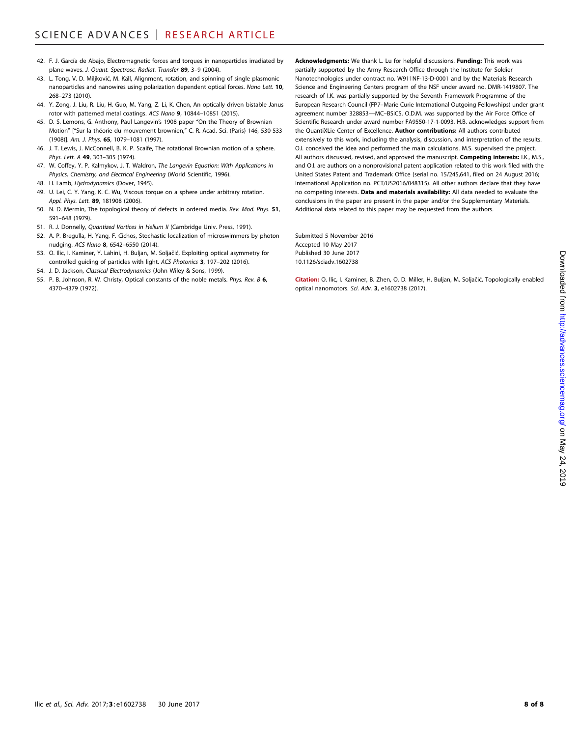- 42. F. J. García de Abajo, Electromagnetic forces and torques in nanoparticles irradiated by plane waves. J. Quant. Spectrosc. Radiat. Transfer 89, 3–9 (2004).
- 43. L. Tong, V. D. Miljković, M. Käll, Alignment, rotation, and spinning of single plasmonic nanoparticles and nanowires using polarization dependent optical forces. Nano Lett. 10, 268–273 (2010).
- 44. Y. Zong, J. Liu, R. Liu, H. Guo, M. Yang, Z. Li, K. Chen, An optically driven bistable Janus rotor with patterned metal coatings. ACS Nano 9, 10844–10851 (2015).
- 45. D. S. Lemons, G. Anthony, Paul Langevin's 1908 paper "On the Theory of Brownian Motion" ["Sur la théorie du mouvement brownien," C. R. Acad. Sci. (Paris) 146, 530-533 (1908)]. Am. J. Phys. 65, 1079–1081 (1997).
- 46. J. T. Lewis, J. McConnell, B. K. P. Scaife, The rotational Brownian motion of a sphere. Phys. Lett. A 49, 303–305 (1974).
- 47. W. Coffey, Y. P. Kalmykov, J. T. Waldron, The Langevin Equation: With Applications in Physics, Chemistry, and Electrical Engineering (World Scientific, 1996).
- 48. H. Lamb, Hydrodynamics (Dover, 1945).
- 49. U. Lei, C. Y. Yang, K. C. Wu, Viscous torque on a sphere under arbitrary rotation. Appl. Phys. Lett. 89, 181908 (2006).
- 50. N. D. Mermin, The topological theory of defects in ordered media. Rev. Mod. Phys. 51, 591–648 (1979).
- 51. R. J. Donnelly, Quantized Vortices in Helium II (Cambridge Univ. Press, 1991).
- 52. A. P. Bregulla, H. Yang, F. Cichos, Stochastic localization of microswimmers by photon nudging. ACS Nano 8, 6542–6550 (2014).
- 53. O. Ilic, I. Kaminer, Y. Lahini, H. Buljan, M. Soljačić, Exploiting optical asymmetry for controlled guiding of particles with light. ACS Photonics 3, 197–202 (2016).
- 54. J. D. Jackson, Classical Electrodynamics (John Wiley & Sons, 1999).
- 55. P. B. Johnson, R. W. Christy, Optical constants of the noble metals. Phys. Rev. B 6, 4370–4379 (1972).

Acknowledgments: We thank L. Lu for helpful discussions. Funding: This work was partially supported by the Army Research Office through the Institute for Soldier Nanotechnologies under contract no. W911NF-13-D-0001 and by the Materials Research Science and Engineering Centers program of the NSF under award no. DMR-1419807. The research of I.K. was partially supported by the Seventh Framework Programme of the European Research Council (FP7–Marie Curie International Outgoing Fellowships) under grant agreement number 328853—MC–BSiCS. O.D.M. was supported by the Air Force Office of Scientific Research under award number FA9550-17-1-0093. H.B. acknowledges support from the QuantiXLie Center of Excellence. **Author contributions:** All authors contributed extensively to this work, including the analysis, discussion, and interpretation of the results. O.I. conceived the idea and performed the main calculations. M.S. supervised the project. All authors discussed, revised, and approved the manuscript. Competing interests: I.K., M.S., and O.I. are authors on a nonprovisional patent application related to this work filed with the United States Patent and Trademark Office (serial no. 15/245,641, filed on 24 August 2016; International Application no. PCT/US2016/048315). All other authors declare that they have no competing interests. Data and materials availability: All data needed to evaluate the conclusions in the paper are present in the paper and/or the Supplementary Materials. Additional data related to this paper may be requested from the authors.

Submitted 5 November 2016 Accepted 10 May 2017 Published 30 June 2017 10.1126/sciadv.1602738

Citation: O. Ilic, I. Kaminer, B. Zhen, O. D. Miller, H. Buljan, M. Soljačić, Topologically enabled optical nanomotors. Sci. Adv. 3, e1602738 (2017).